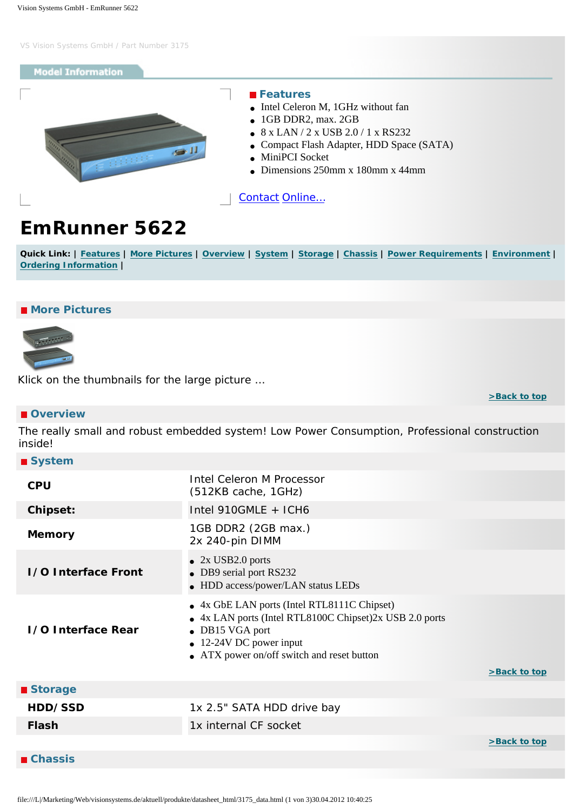# <span id="page-0-6"></span>**Model Information**

<span id="page-0-0"></span>

## **Features**

- Intel Celeron M, 1GHz without fan
- 1GB DDR2, max. 2GB
- 8 x LAN / 2 x USB 2.0 / 1 x RS232
- Compact Flash Adapter, HDD Space (SATA)
- MiniPCI Socket
- $\bullet$  Dimensions 250mm x 180mm x 44mm

[Contact](http://www.visionsystems.de/contactus.htm) [Online…](http://www.visionsystems.de/produkte/3175.html)

# **EmRunner 5622**

Quick Link: | [Features](#page-0-0) | [More Pictures](#page-0-1) | [Overview](#page-0-2) | [System](#page-0-3) | [Storage](#page-0-4) | [Chassis](#page-0-5) | [Power Requirements](#page-1-0) | [Environment](#page-1-1) | **[Ordering Information](#page-1-2) |**

# <span id="page-0-1"></span>**More Pictures**



Klick on the thumbnails for the large picture …

#### **[>Back to top](#page-0-6)**

# <span id="page-0-2"></span> **Overview**

The really small and robust embedded system! Low Power Consumption, Professional construction inside!

<span id="page-0-3"></span>

| ■ System                   |                                                                                                                                                                                                    |              |
|----------------------------|----------------------------------------------------------------------------------------------------------------------------------------------------------------------------------------------------|--------------|
| <b>CPU</b>                 | Intel Celeron M Processor<br>(512KB cache, 1GHz)                                                                                                                                                   |              |
| <b>Chipset:</b>            | Intel 910GMLE + ICH6                                                                                                                                                                               |              |
| <b>Memory</b>              | 1GB DDR2 (2GB max.)<br>2x 240-pin DIMM                                                                                                                                                             |              |
| <b>1/0 Interface Front</b> | $\bullet$ 2x USB2.0 ports<br>• DB9 serial port RS232<br>• HDD access/power/LAN status LEDs                                                                                                         |              |
| <b>1/0 Interface Rear</b>  | • 4x GbE LAN ports (Intel RTL8111C Chipset)<br>• 4x LAN ports (Intel RTL8100C Chipset)2x USB 2.0 ports<br>• DB15 VGA port<br>• 12-24V DC power input<br>• ATX power on/off switch and reset button | >Back to top |
| ■ Storage                  |                                                                                                                                                                                                    |              |
| HDD/SSD                    | 1x 2.5" SATA HDD drive bay                                                                                                                                                                         |              |
| <b>Flash</b>               | 1x internal CF socket                                                                                                                                                                              |              |
|                            |                                                                                                                                                                                                    | >Back to top |

<span id="page-0-5"></span><span id="page-0-4"></span> **Chassis**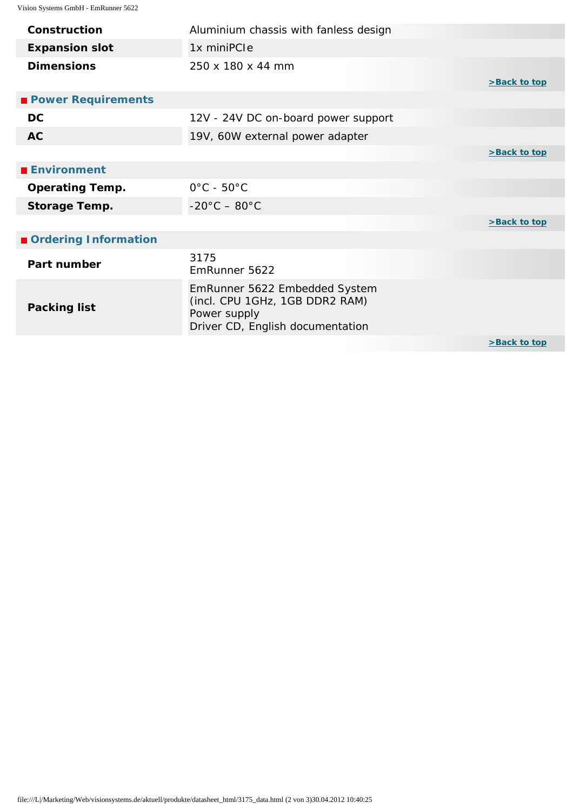<span id="page-1-2"></span><span id="page-1-1"></span><span id="page-1-0"></span>

| Construction              | Aluminium chassis with fanless design                                                                               |              |
|---------------------------|---------------------------------------------------------------------------------------------------------------------|--------------|
| <b>Expansion slot</b>     | 1x miniPCle                                                                                                         |              |
| <b>Dimensions</b>         | 250 x 180 x 44 mm                                                                                                   | >Back to top |
| <b>Power Requirements</b> |                                                                                                                     |              |
| <b>DC</b>                 | 12V - 24V DC on-board power support                                                                                 |              |
| <b>AC</b>                 | 19V, 60W external power adapter                                                                                     |              |
|                           |                                                                                                                     | >Back to top |
| <b>■ Environment</b>      |                                                                                                                     |              |
| <b>Operating Temp.</b>    | $0^{\circ}$ C - 50 $^{\circ}$ C                                                                                     |              |
| <b>Storage Temp.</b>      | $-20^{\circ}$ C $-80^{\circ}$ C                                                                                     |              |
|                           |                                                                                                                     | >Back to top |
| Ordering Information      |                                                                                                                     |              |
| Part number               | 3175<br>EmRunner 5622                                                                                               |              |
| <b>Packing list</b>       | EmRunner 5622 Embedded System<br>(incl. CPU 1GHz, 1GB DDR2 RAM)<br>Power supply<br>Driver CD, English documentation |              |
|                           |                                                                                                                     | >Back to top |